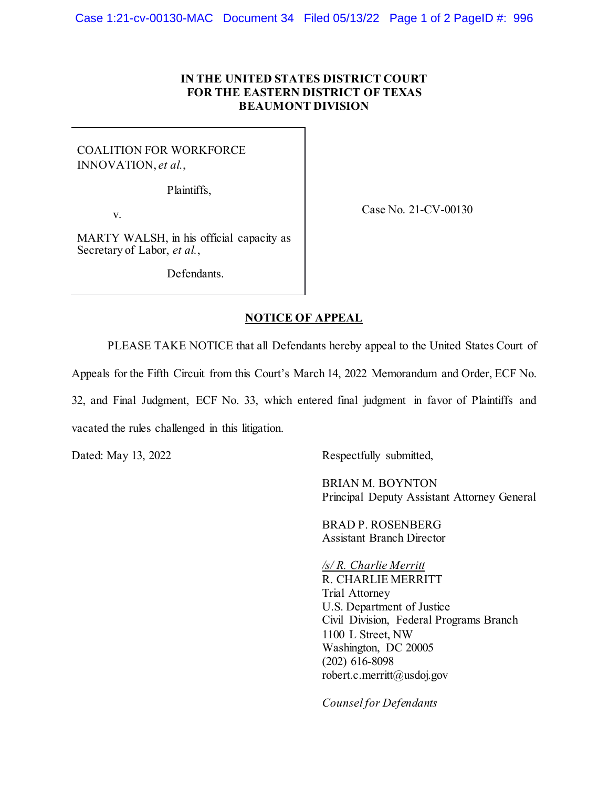## **IN THE UNITED STATES DISTRICT COURT FOR THE EASTERN DISTRICT OF TEXAS BEAUMONT DIVISION**

COALITION FOR WORKFORCE INNOVATION, *et al.*,

Plaintiffs,

v.

Case No. 21-CV-00130

MARTY WALSH, in his official capacity as Secretary of Labor, *et al.*,

Defendants.

## **NOTICE OF APPEAL**

PLEASE TAKE NOTICE that all Defendants hereby appeal to the United States Court of

Appeals for the Fifth Circuit from this Court's March 14, 2022 Memorandum and Order, ECF No.

32, and Final Judgment, ECF No. 33, which entered final judgment in favor of Plaintiffs and

vacated the rules challenged in this litigation.

Dated: May 13, 2022 Respectfully submitted,

BRIAN M. BOYNTON Principal Deputy Assistant Attorney General

BRAD P. ROSENBERG Assistant Branch Director

*/s/ R. Charlie Merritt* R. CHARLIE MERRITT Trial Attorney U.S. Department of Justice Civil Division, Federal Programs Branch 1100 L Street, NW Washington, DC 20005 (202) 616-8098 robert.c.merritt@usdoj.gov

*Counsel for Defendants*